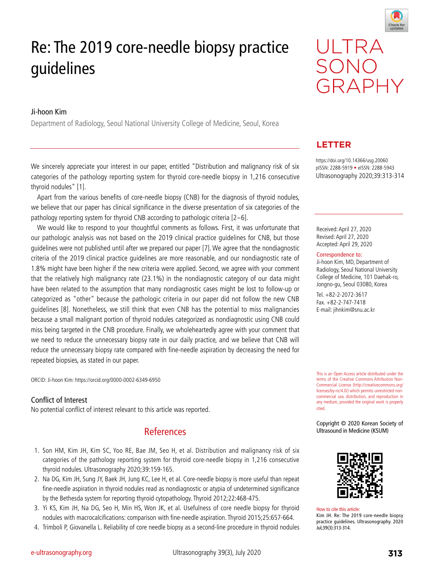

# Re: The 2019 core-needle biopsy practice guidelines

### Ji-hoon Kim

Department of Radiology, Seoul National University College of Medicine, Seoul, Korea

We sincerely appreciate your interest in our paper, entitled "Distribution and malignancy risk of six categories of the pathology reporting system for thyroid core-needle biopsy in 1,216 consecutive thyroid nodules" [1].

Apart from the various benefits of core-needle biopsy (CNB) for the diagnosis of thyroid nodules, we believe that our paper has clinical significance in the diverse presentation of six categories of the pathology reporting system for thyroid CNB according to pathologic criteria [2-6].

We would like to respond to your thoughtful comments as follows. First, it was unfortunate that our pathologic analysis was not based on the 2019 clinical practice guidelines for CNB, but those guidelines were not published until after we prepared our paper [7]. We agree that the nondiagnostic criteria of the 2019 clinical practice guidelines are more reasonable, and our nondiagnostic rate of 1.8% might have been higher if the new criteria were applied. Second, we agree with your comment that the relatively high malignancy rate (23.1%) in the nondiagnostic category of our data might have been related to the assumption that many nondiagnostic cases might be lost to follow-up or categorized as "other" because the pathologic criteria in our paper did not follow the new CNB guidelines [8]. Nonetheless, we still think that even CNB has the potential to miss malignancies because a small malignant portion of thyroid nodules categorized as nondiagnostic using CNB could miss being targeted in the CNB procedure. Finally, we wholeheartedly agree with your comment that we need to reduce the unnecessary biopsy rate in our daily practice, and we believe that CNB will reduce the unnecessary biopsy rate compared with fine-needle aspiration by decreasing the need for repeated biopsies, as stated in our paper.

ORCID: Ji-hoon Kim: https://orcid.org/0000-0002-6349-6950

#### Conflict of Interest

No potential conflict of interest relevant to this article was reported.

## References

- 1. Son HM, Kim JH, Kim SC, Yoo RE, Bae JM, Seo H, et al. Distribution and malignancy risk of six categories of the pathology reporting system for thyroid core-needle biopsy in 1,216 consecutive thyroid nodules. Ultrasonography 2020;39:159-165.
- 2. Na DG, Kim JH, Sung JY, Baek JH, Jung KC, Lee H, et al. Core-needle biopsy is more useful than repeat fine-needle aspiration in thyroid nodules read as nondiagnostic or atypia of undetermined significance by the Bethesda system for reporting thyroid cytopathology. Thyroid 2012;22:468-475.
- 3. Yi KS, Kim JH, Na DG, Seo H, Min HS, Won JK, et al. Usefulness of core needle biopsy for thyroid nodules with macrocalcifications: comparison with fine-needle aspiration. Thyroid 2015;25:657-664.
- 4. Trimboli P, Giovanella L. Reliability of core needle biopsy as a second-line procedure in thyroid nodules



## **LETTER**

https://doi.org/10.14366/usg.20060 pISSN: 2288-5919 • eISSN: 2288-5943 Ultrasonography 2020;39:313-314

Received: April 27, 2020 Revised: April 27, 2020 Accepted: April 29, 2020

Correspondence to:

Ji-hoon Kim, MD, Department of Radiology, Seoul National University College of Medicine, 101 Daehak-ro, Jongno-gu, Seoul 03080, Korea

Tel. +82-2-2072-3617 Fax. +82-2-747-7418 E-mail: jihnkim@snu.ac.kr

This is an Open Access article distributed under the terms of the Creative Commons Attribution Non-Commercial License (http://creativecommons.org/ licenses/by-nc/4.0/) which permits unrestricted noncommercial use, distribution, and reproduction in any medium, provided the original work is properly cited.

Copyright © 2020 Korean Society of Ultrasound in Medicine (KSUM)



How to cite this article: Kim JH. Re: The 2019 core-needle biopsy practice guidelines. Ultrasonography. 2020 Jul;39(3):313-314.